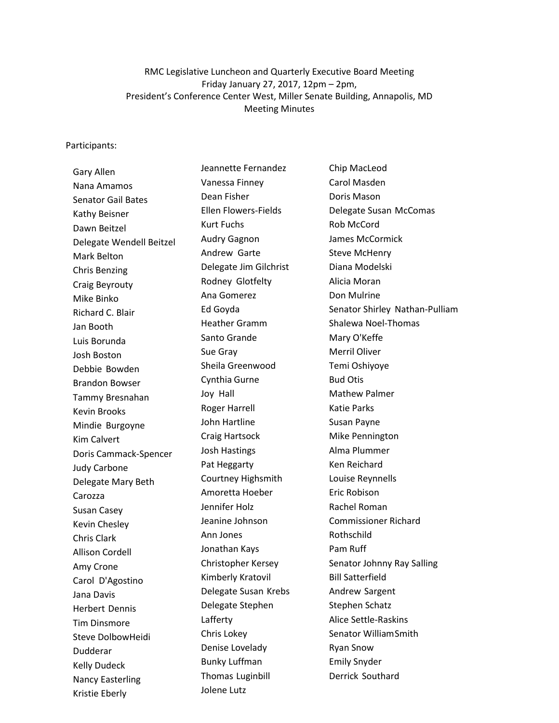RMC Legislative Luncheon and Quarterly Executive Board Meeting Friday January 27, 2017, 12pm – 2pm, President's Conference Center West, Miller Senate Building, Annapolis, MD Meeting Minutes

### Participants:

Gary Allen Nana Amamos Senator Gail Bates Kathy Beisner Dawn Beitzel Delegate Wendell Beitzel Mark Belton Chris Benzing Craig Beyrouty Mike Binko Richard C. Blair Jan Booth Luis Borunda Josh Boston Debbie Bowden Brandon Bowser Tammy Bresnahan Kevin Brooks Mindie Burgoyne Kim Calvert Doris Cammack-Spencer Judy Carbone Delegate Mary Beth Carozza Susan Casey Kevin Chesley Chris Clark Allison Cordell Amy Crone Carol D'Agostino Jana Davis Herbert Dennis Tim Dinsmore Steve DolbowHeidi Dudderar Kelly Dudeck Nancy Easterling Kristie Eberly

Jeannette Fernandez Vanessa Finney Dean Fisher Ellen Flowers-Fields Kurt Fuchs Audry Gagnon Andrew Garte Delegate Jim Gilchrist Rodney Glotfelty Ana Gomerez Ed Goyda Heather Gramm Santo Grande Sue Gray Sheila Greenwood Cynthia Gurne Joy Hall Roger Harrell John Hartline Craig Hartsock Josh Hastings Pat Heggarty Courtney Highsmith Amoretta Hoeber Jennifer Holz Jeanine Johnson Ann Jones Jonathan Kays Christopher Kersey Kimberly Kratovil Delegate Susan Krebs Delegate Stephen Lafferty Chris Lokey Denise Lovelady Bunky Luffman Thomas Luginbill Jolene Lutz

Chip MacLeod Carol Masden Doris Mason Delegate Susan McComas Rob McCord James McCormick Steve McHenry Diana Modelski Alicia Moran Don Mulrine Senator Shirley Nathan-Pulliam Shalewa Noel-Thomas Mary O'Keffe Merril Oliver Temi Oshiyoye Bud Otis Mathew Palmer Katie Parks Susan Payne Mike Pennington Alma Plummer Ken Reichard Louise Reynnells Eric Robison Rachel Roman Commissioner Richard Rothschild Pam Ruff Senator Johnny Ray Salling Bill Satterfield Andrew Sargent Stephen Schatz Alice Settle-Raskins Senator WilliamSmith Ryan Snow Emily Snyder Derrick Southard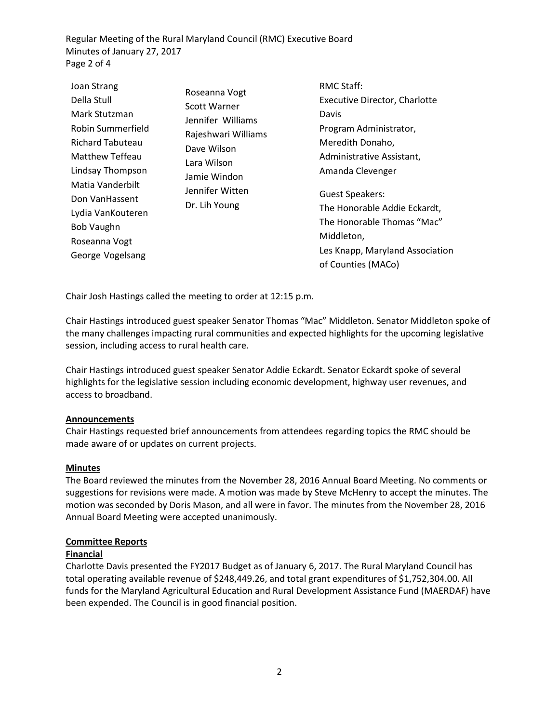Regular Meeting of the Rural Maryland Council (RMC) Executive Board Minutes of January 27, 2017 Page 2 of 4

| Joan Strang                                | Roseanna Vogt<br><b>Scott Warner</b><br>Jennifer Williams<br>Rajeshwari Williams<br>Dave Wilson<br>Lara Wilson<br>Jamie Windon<br>Jennifer Witten<br>Dr. Lih Young | <b>RMC Staff:</b>                                                 |
|--------------------------------------------|--------------------------------------------------------------------------------------------------------------------------------------------------------------------|-------------------------------------------------------------------|
| Della Stull                                |                                                                                                                                                                    | Executive Director, Charlotte                                     |
| Mark Stutzman                              |                                                                                                                                                                    | Davis                                                             |
| Robin Summerfield                          |                                                                                                                                                                    | Program Administrator,                                            |
| <b>Richard Tabuteau</b><br>Matthew Teffeau |                                                                                                                                                                    | Meredith Donaho,<br>Administrative Assistant,<br>Amanda Clevenger |
| Lindsay Thompson                           |                                                                                                                                                                    |                                                                   |
| Matia Vanderbilt<br>Don VanHassent         |                                                                                                                                                                    | <b>Guest Speakers:</b><br>The Honorable Addie Eckardt,            |
| Lydia VanKouteren<br>Bob Vaughn            |                                                                                                                                                                    | The Honorable Thomas "Mac"                                        |
| Roseanna Vogt                              |                                                                                                                                                                    | Middleton,                                                        |
| George Vogelsang                           |                                                                                                                                                                    | Les Knapp, Maryland Association<br>of Counties (MACo)             |

Chair Josh Hastings called the meeting to order at 12:15 p.m.

Chair Hastings introduced guest speaker Senator Thomas "Mac" Middleton. Senator Middleton spoke of the many challenges impacting rural communities and expected highlights for the upcoming legislative session, including access to rural health care.

Chair Hastings introduced guest speaker Senator Addie Eckardt. Senator Eckardt spoke of several highlights for the legislative session including economic development, highway user revenues, and access to broadband.

## **Announcements**

Chair Hastings requested brief announcements from attendees regarding topics the RMC should be made aware of or updates on current projects.

### **Minutes**

The Board reviewed the minutes from the November 28, 2016 Annual Board Meeting. No comments or suggestions for revisions were made. A motion was made by Steve McHenry to accept the minutes. The motion was seconded by Doris Mason, and all were in favor. The minutes from the November 28, 2016 Annual Board Meeting were accepted unanimously.

## **Committee Reports**

### **Financial**

Charlotte Davis presented the FY2017 Budget as of January 6, 2017. The Rural Maryland Council has total operating available revenue of \$248,449.26, and total grant expenditures of \$1,752,304.00. All funds for the Maryland Agricultural Education and Rural Development Assistance Fund (MAERDAF) have been expended. The Council is in good financial position.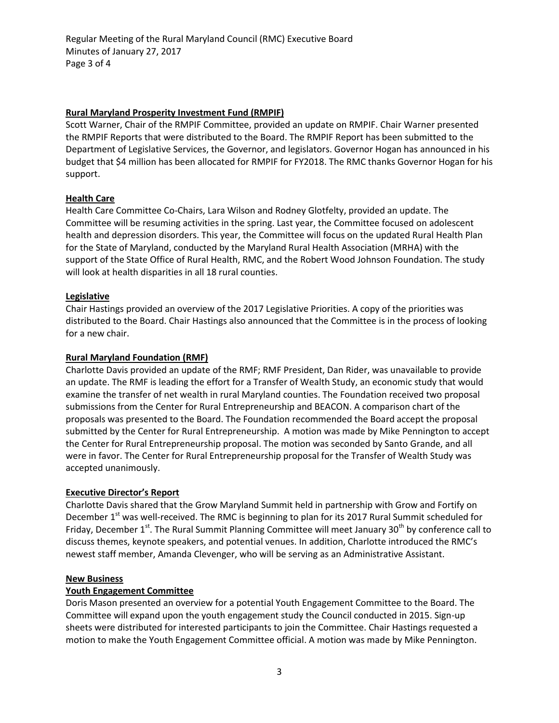Regular Meeting of the Rural Maryland Council (RMC) Executive Board Minutes of January 27, 2017 Page 3 of 4

# **Rural Maryland Prosperity Investment Fund (RMPIF)**

Scott Warner, Chair of the RMPIF Committee, provided an update on RMPIF. Chair Warner presented the RMPIF Reports that were distributed to the Board. The RMPIF Report has been submitted to the Department of Legislative Services, the Governor, and legislators. Governor Hogan has announced in his budget that \$4 million has been allocated for RMPIF for FY2018. The RMC thanks Governor Hogan for his support.

# **Health Care**

Health Care Committee Co-Chairs, Lara Wilson and Rodney Glotfelty, provided an update. The Committee will be resuming activities in the spring. Last year, the Committee focused on adolescent health and depression disorders. This year, the Committee will focus on the updated Rural Health Plan for the State of Maryland, conducted by the Maryland Rural Health Association (MRHA) with the support of the State Office of Rural Health, RMC, and the Robert Wood Johnson Foundation. The study will look at health disparities in all 18 rural counties.

## **Legislative**

Chair Hastings provided an overview of the 2017 Legislative Priorities. A copy of the priorities was distributed to the Board. Chair Hastings also announced that the Committee is in the process of looking for a new chair.

# **Rural Maryland Foundation (RMF)**

Charlotte Davis provided an update of the RMF; RMF President, Dan Rider, was unavailable to provide an update. The RMF is leading the effort for a Transfer of Wealth Study, an economic study that would examine the transfer of net wealth in rural Maryland counties. The Foundation received two proposal submissions from the Center for Rural Entrepreneurship and BEACON. A comparison chart of the proposals was presented to the Board. The Foundation recommended the Board accept the proposal submitted by the Center for Rural Entrepreneurship. A motion was made by Mike Pennington to accept the Center for Rural Entrepreneurship proposal. The motion was seconded by Santo Grande, and all were in favor. The Center for Rural Entrepreneurship proposal for the Transfer of Wealth Study was accepted unanimously.

## **Executive Director's Report**

Charlotte Davis shared that the Grow Maryland Summit held in partnership with Grow and Fortify on December 1<sup>st</sup> was well-received. The RMC is beginning to plan for its 2017 Rural Summit scheduled for Friday, December  $1<sup>st</sup>$ . The Rural Summit Planning Committee will meet January 30<sup>th</sup> by conference call to discuss themes, keynote speakers, and potential venues. In addition, Charlotte introduced the RMC's newest staff member, Amanda Clevenger, who will be serving as an Administrative Assistant.

## **New Business**

## **Youth Engagement Committee**

Doris Mason presented an overview for a potential Youth Engagement Committee to the Board. The Committee will expand upon the youth engagement study the Council conducted in 2015. Sign-up sheets were distributed for interested participants to join the Committee. Chair Hastings requested a motion to make the Youth Engagement Committee official. A motion was made by Mike Pennington.